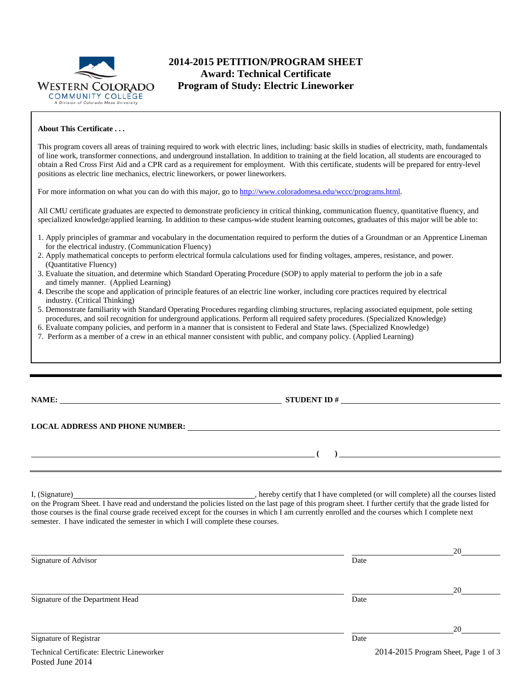

# **2014-2015 PETITION/PROGRAM SHEET Award: Technical Certificate Program of Study: Electric Lineworker**

#### **About This Certificate . . .**

This program covers all areas of training required to work with electric lines, including: basic skills in studies of electricity, math, fundamentals of line work, transformer connections, and underground installation. In addition to training at the field location, all students are encouraged to obtain a Red Cross First Aid and a CPR card as a requirement for employment. With this certificate, students will be prepared for entry-level positions as electric line mechanics, electric lineworkers, or power lineworkers.

For more information on what you can do with this major, go to [http://www.coloradomesa.edu/wccc/programs.html.](http://www.coloradomesa.edu/wccc/programs.html)

All CMU certificate graduates are expected to demonstrate proficiency in critical thinking, communication fluency, quantitative fluency, and specialized knowledge/applied learning. In addition to these campus-wide student learning outcomes, graduates of this major will be able to:

- 1. Apply principles of grammar and vocabulary in the documentation required to perform the duties of a Groundman or an Apprentice Lineman for the electrical industry. (Communication Fluency)
- 2. Apply mathematical concepts to perform electrical formula calculations used for finding voltages, amperes, resistance, and power. (Quantitative Fluency)
- 3. Evaluate the situation, and determine which Standard Operating Procedure (SOP) to apply material to perform the job in a safe and timely manner. (Applied Learning)
- 4. Describe the scope and application of principle features of an electric line worker, including core practices required by electrical industry. (Critical Thinking)
- 5. Demonstrate familiarity with Standard Operating Procedures regarding climbing structures, replacing associated equipment, pole setting procedures, and soil recognition for underground applications. Perform all required safety procedures. (Specialized Knowledge)
- 6. Evaluate company policies, and perform in a manner that is consistent to Federal and State laws. (Specialized Knowledge)
- 7. Perform as a member of a crew in an ethical manner consistent with public, and company policy. (Applied Learning)

**NAME: STUDENT ID #**

**( )** 

### **LOCAL ADDRESS AND PHONE NUMBER:**

Posted June 2014

I, (Signature) , hereby certify that I have completed (or will complete) all the courses listed on the Program Sheet. I have read and understand the policies listed on the last page of this program sheet. I further certify that the grade listed for those courses is the final course grade received except for the courses in which I am currently enrolled and the courses which I complete next semester. I have indicated the semester in which I will complete these courses.

|                                            |      | 20                                   |  |  |  |
|--------------------------------------------|------|--------------------------------------|--|--|--|
| Signature of Advisor                       | Date |                                      |  |  |  |
|                                            |      | 20                                   |  |  |  |
| Signature of the Department Head           | Date |                                      |  |  |  |
|                                            |      | 20                                   |  |  |  |
| Signature of Registrar                     | Date |                                      |  |  |  |
| Technical Certificate: Electric Lineworker |      | 2014-2015 Program Sheet, Page 1 of 3 |  |  |  |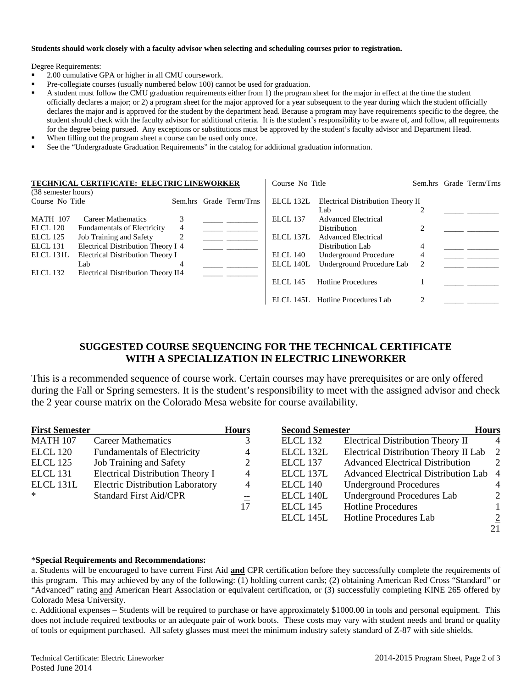#### **Students should work closely with a faculty advisor when selecting and scheduling courses prior to registration.**

Degree Requirements:

- 2.00 cumulative GPA or higher in all CMU coursework.
- Pre-collegiate courses (usually numbered below 100) cannot be used for graduation.
- A student must follow the CMU graduation requirements either from 1) the program sheet for the major in effect at the time the student officially declares a major; or 2) a program sheet for the major approved for a year subsequent to the year during which the student officially declares the major and is approved for the student by the department head. Because a program may have requirements specific to the degree, the student should check with the faculty advisor for additional criteria. It is the student's responsibility to be aware of, and follow, all requirements for the degree being pursued. Any exceptions or substitutions must be approved by the student's faculty advisor and Department Head.
- When filling out the program sheet a course can be used only once.
- See the "Undergraduate Graduation Requirements" in the catalog for additional graduation information.

| TECHNICAL CERTIFICATE: ELECTRIC LINEWORKER<br>(38 semester hours) |                                                                        |   |  | Course No Title         |                 |                                                   | Sem.hrs Grade Term/Trns     |  |
|-------------------------------------------------------------------|------------------------------------------------------------------------|---|--|-------------------------|-----------------|---------------------------------------------------|-----------------------------|--|
| Course No Title                                                   |                                                                        |   |  | Sem.hrs Grade Term/Trns | ELCL 132L       | Electrical Distribution Theory II                 |                             |  |
| <b>MATH 107</b><br>ELCL 120                                       | Career Mathematics<br><b>Fundamentals of Electricity</b>               | 4 |  |                         | <b>ELCL 137</b> | Lab<br><b>Advanced Electrical</b><br>Distribution | $\mathfrak{D}$              |  |
| <b>ELCL 125</b>                                                   | Job Training and Safety                                                | 2 |  |                         | ELCL 137L       | <b>Advanced Electrical</b>                        |                             |  |
| ELCL 131<br>ELCL 131L                                             | Electrical Distribution Theory I 4<br>Electrical Distribution Theory I |   |  |                         | ELCL 140        | Distribution Lab<br><b>Underground Procedure</b>  | $\overline{4}$<br>4         |  |
| ELCL 132                                                          | Lab<br>Electrical Distribution Theory II4                              |   |  |                         | ELCL 140L       | Underground Procedure Lab                         | 2                           |  |
|                                                                   |                                                                        |   |  |                         | ELCL 145        | <b>Hotline Procedures</b>                         |                             |  |
|                                                                   |                                                                        |   |  |                         |                 | ELCL 145L Hotline Procedures Lab                  | $\mathcal{D}_{\mathcal{L}}$ |  |

## **SUGGESTED COURSE SEQUENCING FOR THE TECHNICAL CERTIFICATE WITH A SPECIALIZATION IN ELECTRIC LINEWORKER**

This is a recommended sequence of course work. Certain courses may have prerequisites or are only offered during the Fall or Spring semesters. It is the student's responsibility to meet with the assigned advisor and check the 2 year course matrix on the Colorado Mesa website for course availability.

| <b>First Semester</b> |                                         | <b>Hours</b>   | <b>Second Semester</b> |                                         | <b>Hours</b>   |  |
|-----------------------|-----------------------------------------|----------------|------------------------|-----------------------------------------|----------------|--|
| <b>MATH 107</b>       | <b>Career Mathematics</b>               | 3              | ELCL 132               | Electrical Distribution Theory II       | 4              |  |
| <b>ELCL 120</b>       | <b>Fundamentals of Electricity</b>      | $\overline{4}$ | ELCL 132L              | Electrical Distribution Theory II Lab   | $\overline{2}$ |  |
| <b>ELCL 125</b>       | Job Training and Safety                 | 2              | ELCL 137               | <b>Advanced Electrical Distribution</b> | 2              |  |
| ELCL 131              | Electrical Distribution Theory I        | $\overline{4}$ | ELCL 137L              | Advanced Electrical Distribution Lab 4  |                |  |
| ELCL 131L             | <b>Electric Distribution Laboratory</b> | 4              | <b>ELCL 140</b>        | <b>Underground Procedures</b>           | 4              |  |
| ∗                     | <b>Standard First Aid/CPR</b>           | $\equiv$       | ELCL 140L              | <b>Underground Procedures Lab</b>       | 2              |  |
|                       |                                         | 17             | ELCL 145               | <b>Hotline Procedures</b>               |                |  |
|                       |                                         |                | ELCL 145L              | <b>Hotline Procedures Lab</b>           | $\overline{2}$ |  |
|                       |                                         |                |                        |                                         | 21             |  |

#### \***Special Requirements and Recommendations:**

a. Students will be encouraged to have current First Aid **and** CPR certification before they successfully complete the requirements of this program. This may achieved by any of the following: (1) holding current cards; (2) obtaining American Red Cross "Standard" or "Advanced" rating and American Heart Association or equivalent certification, or (3) successfully completing KINE 265 offered by Colorado Mesa University.

c. Additional expenses – Students will be required to purchase or have approximately \$1000.00 in tools and personal equipment. This does not include required textbooks or an adequate pair of work boots. These costs may vary with student needs and brand or quality of tools or equipment purchased. All safety glasses must meet the minimum industry safety standard of Z-87 with side shields.